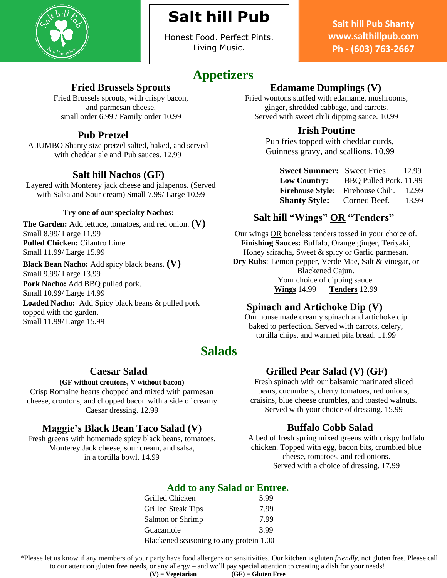

# **Salt hill Pub**

Honest Food. Perfect Pints. Living Music.

## **Appetizers**

### **Fried Brussels Sprouts**

Fried Brussels sprouts, with crispy bacon, and parmesan cheese. small order 6.99 / Family order 10.99

### **Pub Pretzel**

A JUMBO Shanty size pretzel salted, baked, and served with cheddar ale and Pub sauces. 12.99

### **Salt hill Nachos (GF)**

Layered with Monterey jack cheese and jalapenos. (Served with Salsa and Sour cream) Small 7.99/ Large 10.99

#### **Try one of our specialty Nachos:**

**The Garden:** Add lettuce, tomatoes, and red onion. **(V)** Small 8.99/ Large 11.99 **Pulled Chicken:** Cilantro Lime Small 11.99/ Large 15.99

**Black Bean Nacho:** Add spicy black beans. **(V)** Small 9.99/ Large 13.99

**Pork Nacho:** Add BBQ pulled pork. Small 10.99/ Large 14.99

**Loaded Nacho:** Add Spicy black beans & pulled pork topped with the garden. Small 11.99/ Large 15.99

## **Edamame Dumplings (V)**

Fried wontons stuffed with edamame, mushrooms, ginger, shredded cabbage, and carrots. Served with sweet chili dipping sauce. 10.99

### **Irish Poutine**

Pub fries topped with cheddar curds, Guinness gravy, and scallions. 10.99

| <b>Sweet Summer:</b> Sweet Fries |                        | 12.99 |
|----------------------------------|------------------------|-------|
| <b>Low Country:</b>              | BBQ Pulled Pork. 11.99 |       |
| <b>Firehouse Style:</b>          | Firehouse Chili.       | 12.99 |
| <b>Shanty Style:</b>             | Corned Beef.           | 13.99 |

### **Salt hill "Wings" OR "Tenders"**

Our wings OR boneless tenders tossed in your choice of. **Finishing Sauces:** Buffalo, Orange ginger, Teriyaki, Honey sriracha, Sweet & spicy or Garlic parmesan. **Dry Rubs**: Lemon pepper, Verde Mae, Salt & vinegar, or Blackened Cajun. Your choice of dipping sauce. **Wings** 14.99 **Tenders** 12.99

### **Spinach and Artichoke Dip (V)**

Our house made creamy spinach and artichoke dip baked to perfection. Served with carrots, celery, tortilla chips, and warmed pita bread. 11.99

## **Salads**

### **Caesar Salad**

#### **(GF without croutons, V without bacon)**

Crisp Romaine hearts chopped and mixed with parmesan cheese, croutons, and chopped bacon with a side of creamy Caesar dressing. 12.99

### **Maggie's Black Bean Taco Salad (V)**

Fresh greens with homemade spicy black beans, tomatoes, Monterey Jack cheese, sour cream, and salsa, in a tortilla bowl. 14.99

### **Grilled Pear Salad (V) (GF)**

Fresh spinach with our balsamic marinated sliced pears, cucumbers, cherry tomatoes, red onions, craisins, blue cheese crumbles, and toasted walnuts. Served with your choice of dressing. 15.99

### **Buffalo Cobb Salad**

A bed of fresh spring mixed greens with crispy buffalo chicken. Topped with egg, bacon bits, crumbled blue cheese, tomatoes, and red onions. Served with a choice of dressing. 17.99

### **Add to any Salad or Entree.**

| Grilled Chicken                         | 5.99 |
|-----------------------------------------|------|
| <b>Grilled Steak Tips</b>               | 7.99 |
| Salmon or Shrimp                        | 7.99 |
| Guacamole                               | 3.99 |
| Blackened seasoning to any protein 1.00 |      |

\*Please let us know if any members of your party have food allergens or sensitivities. Our kitchen is gluten *friendly*, not gluten free. Please call to our attention gluten free needs, or any allergy – and we'll pay special attention to creating a dish for your needs!

**Salt hill Pub Shanty [www.salthillpub.com](http://www.salthillpub.com/) Ph - (603) 763-2667**